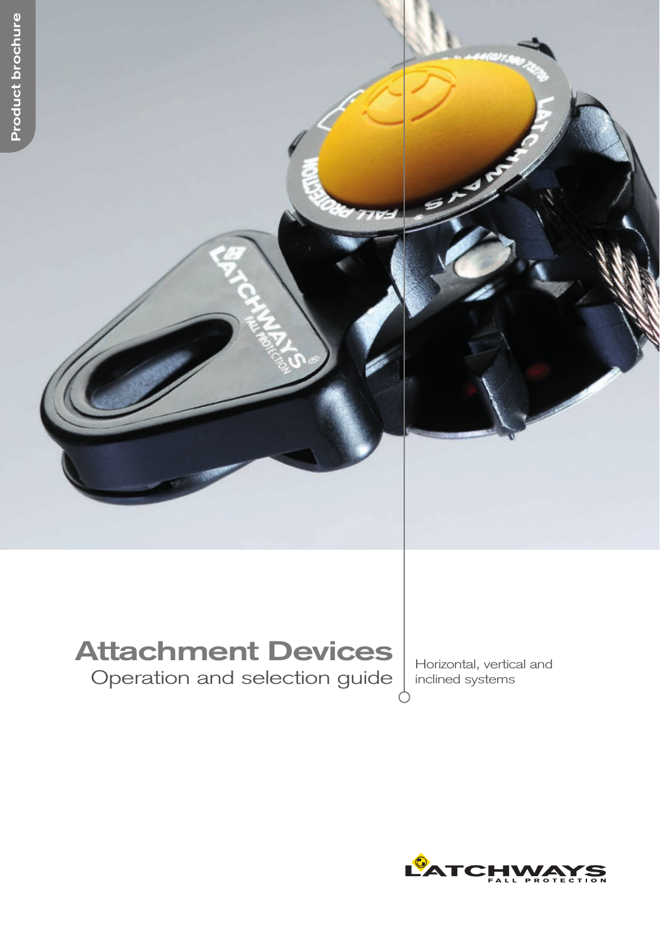# **Attachment Devices**

Operation and selection guide | Horizontal, vertical and Operation and selection guide | Horizontal, vertical and

inclined systems

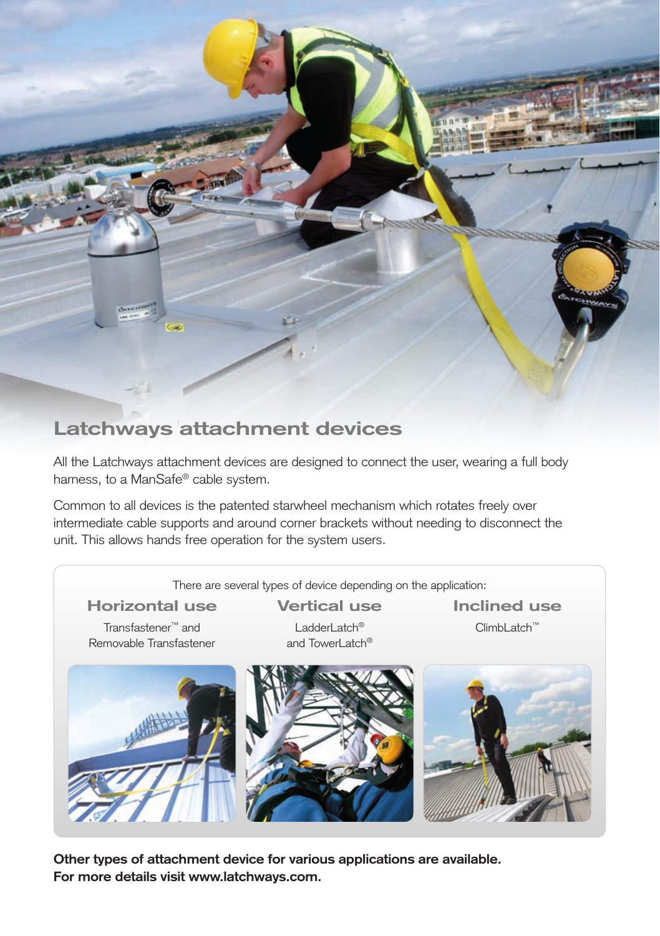

### **Latchways attachment devices**

All the Latchways attachment devices are designed to connect the user, wearing a full body harness, to a ManSafe® cable system.

Common to all devices is the patented starwheel mechanism which rotates freely over intermediate cable supports and around corner brackets without needing to disconnect the unit. This allows hands free operation for the system users.



**Other types of attachment device for various applications are available. For more details visit www.latchways.com.**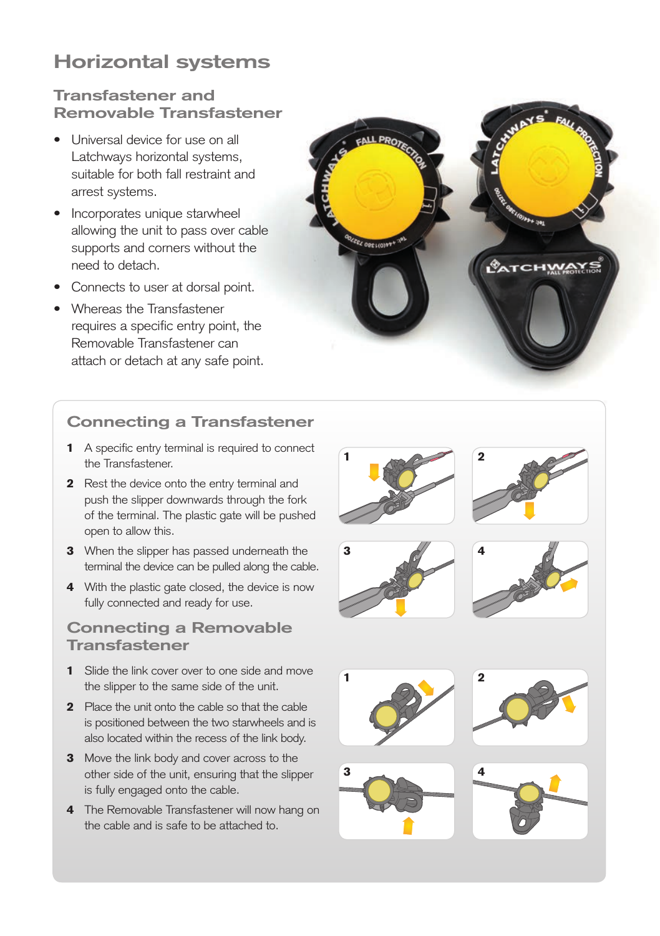### **Horizontal systems**

#### **Transfastener and Removable Transfastener**

- Universal device for use on all Latchways horizontal systems, suitable for both fall restraint and arrest systems.
- Incorporates unique starwheel allowing the unit to pass over cable supports and corners without the need to detach.
- Connects to user at dorsal point.
- Whereas the Transfastener requires a specific entry point, the Removable Transfastener can attach or detach at any safe point.



#### **Connecting a Transfastener**

- 1 A specific entry terminal is required to connect the Transfastener.
- 2 Rest the device onto the entry terminal and push the slipper downwards through the fork of the terminal. The plastic gate will be pushed open to allow this.
- **3** When the slipper has passed underneath the terminal the device can be pulled along the cable.
- 4 With the plastic gate closed, the device is now fully connected and ready for use.

#### **Connecting a Removable Transfastener**

- 1 Slide the link cover over to one side and move the slipper to the same side of the unit.
- 2 Place the unit onto the cable so that the cable is positioned between the two starwheels and is also located within the recess of the link body.
- 3 Move the link body and cover across to the other side of the unit, ensuring that the slipper is fully engaged onto the cable.
- 4 The Removable Transfastener will now hang on the cable and is safe to be attached to.















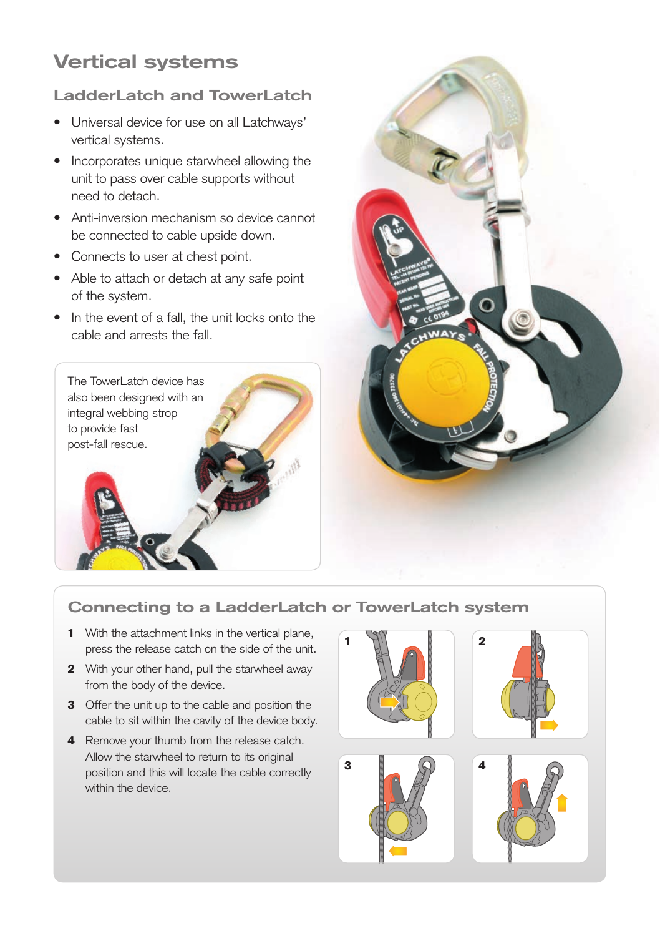## **Vertical systems**

### **LadderLatch and TowerLatch**

- Universal device for use on all Latchways' vertical systems.
- Incorporates unique starwheel allowing the unit to pass over cable supports without need to detach.
- Anti-inversion mechanism so device cannot be connected to cable upside down.
- Connects to user at chest point.
- Able to attach or detach at any safe point of the system.
- In the event of a fall, the unit locks onto the cable and arrests the fall.





### **Connecting to a LadderLatch or TowerLatch system**

- 1 With the attachment links in the vertical plane, press the release catch on the side of the unit.
- 2 With your other hand, pull the starwheel away from the body of the device.
- 3 Offer the unit up to the cable and position the cable to sit within the cavity of the device body.
- 4 Remove your thumb from the release catch. Allow the starwheel to return to its original position and this will locate the cable correctly within the device.

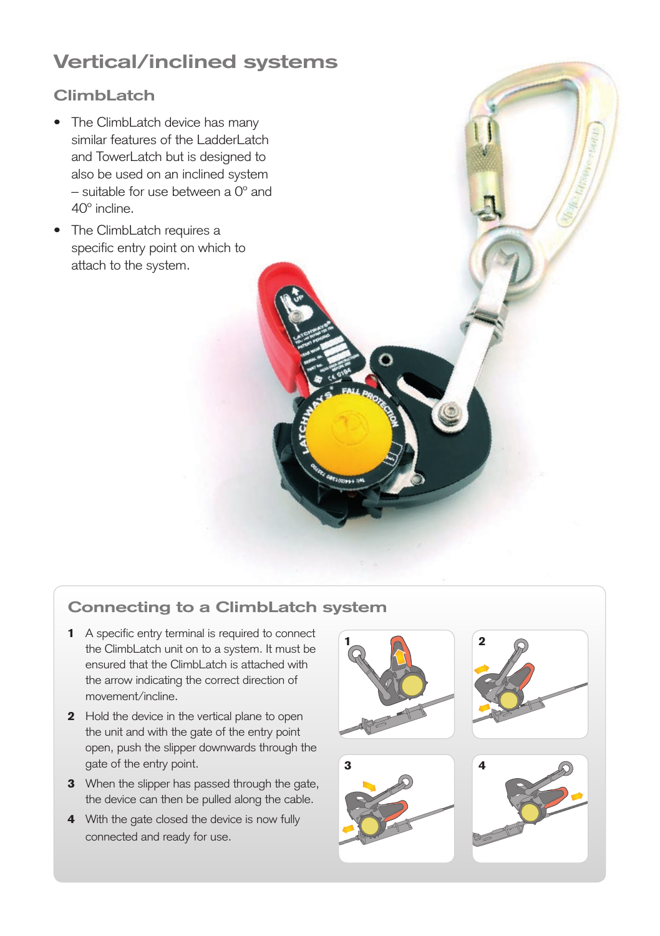# **Vertical/inclined systems**

### **ClimbLatch**

- The ClimbLatch device has many similar features of the LadderLatch and TowerLatch but is designed to also be used on an inclined system – suitable for use between a 0º and 40º incline.
- The ClimbLatch requires a specific entry point on which to attach to the system.

### **Connecting to a ClimbLatch system**

- 1 A specific entry terminal is required to connect the ClimbLatch unit on to a system. It must be ensured that the ClimbLatch is attached with the arrow indicating the correct direction of movement/incline.
- 2 Hold the device in the vertical plane to open the unit and with the gate of the entry point open, push the slipper downwards through the gate of the entry point.
- **3** When the slipper has passed through the gate, the device can then be pulled along the cable.
- 4 With the gate closed the device is now fully connected and ready for use.